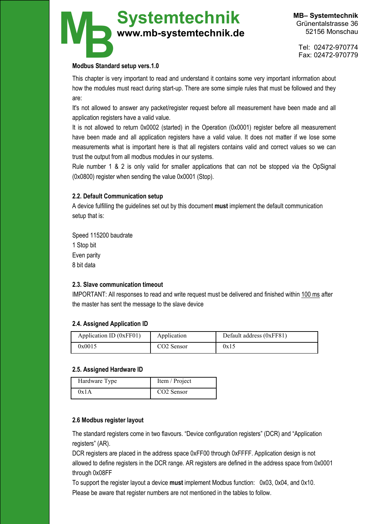

**MB– Systemtechnik**  Grünentalstrasse 36 52156 Monschau

Tel: 02472-970774 Fax: 02472-970779

### **Modbus Standard setup vers.1.0**

This chapter is very important to read and understand it contains some very important information about how the modules must react during start-up. There are some simple rules that must be followed and they are:

It's not allowed to answer any packet/register request before all measurement have been made and all application registers have a valid value.

It is not allowed to return 0x0002 (started) in the Operation (0x0001) register before all measurement have been made and all application registers have a valid value. It does not matter if we lose some measurements what is important here is that all registers contains valid and correct values so we can trust the output from all modbus modules in our systems.

Rule number 1 & 2 is only valid for smaller applications that can not be stopped via the OpSignal (0x0800) register when sending the value 0x0001 (Stop).

### **2.2. Default Communication setup**

A device fulfilling the guidelines set out by this document **must** implement the default communication setup that is:

Speed 115200 baudrate 1 Stop bit Even parity 8 bit data

### **2.3. Slave communication timeout**

IMPORTANT: All responses to read and write request must be delivered and finished within 100 ms after the master has sent the message to the slave device

### **2.4. Assigned Application ID**

| Application ID (0xFF01) | Application            | Default address (0xFF81) |  |  |  |  |
|-------------------------|------------------------|--------------------------|--|--|--|--|
| 0x0015                  | CO <sub>2</sub> Sensor | 0x15                     |  |  |  |  |

### **2.5. Assigned Hardware ID**

| Hardware Type | Item / Project         |
|---------------|------------------------|
| 0x 1 A        | CO <sub>2</sub> Sensor |

### **2.6 Modbus register layout**

The standard registers come in two flavours. "Device configuration registers" (DCR) and "Application registers" (AR).

DCR registers are placed in the address space 0xFF00 through 0xFFFF. Application design is not allowed to define registers in the DCR range. AR registers are defined in the address space from 0x0001 through 0x08FF

To support the register layout a device **must** implement Modbus function: 0x03, 0x04, and 0x10. Please be aware that register numbers are not mentioned in the tables to follow.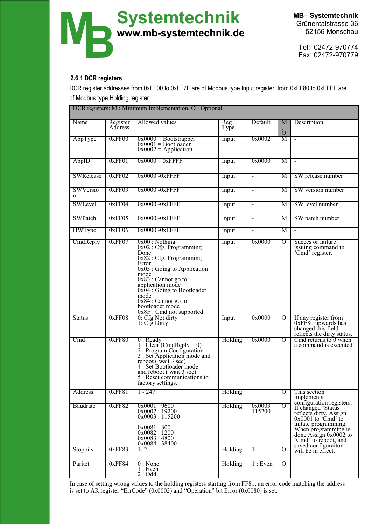

Tel: 02472-970774 Fax: 02472-970779

# **2.6.1 DCR registers**

DCR register addresses from 0xFF00 to 0xFF7F are of Modbus type Input register, from 0xFF80 to 0xFFFF are of Modbus type Holding register.

| DCR registers: M : Minimum Implementation, O : Optional |                     |                                                                                                                                                                                                                                                                                                     |             |                      |          |                                                                                                                                                                                                                            |
|---------------------------------------------------------|---------------------|-----------------------------------------------------------------------------------------------------------------------------------------------------------------------------------------------------------------------------------------------------------------------------------------------------|-------------|----------------------|----------|----------------------------------------------------------------------------------------------------------------------------------------------------------------------------------------------------------------------------|
| Name                                                    | Register<br>Address | Allowed values                                                                                                                                                                                                                                                                                      | Reg<br>Type | Default              | M<br>ó   | Description                                                                                                                                                                                                                |
| AppType                                                 | 0xFF00              | $0x0000 =$ Bootstrapper<br>$0x0001 =$ Bootloader<br>$0x0002$ = Application                                                                                                                                                                                                                          | Input       | 0x0002               | M        | $\blacksquare$                                                                                                                                                                                                             |
| AppID                                                   | 0xFF01              | $0x0000 - 0x$ FFFF                                                                                                                                                                                                                                                                                  | Input       | 0x0000               | M        | $\blacksquare$                                                                                                                                                                                                             |
| <b>SWRelease</b>                                        | 0xFF02              | $0x0000 - 0x$ FFFF                                                                                                                                                                                                                                                                                  | Input       | $\blacksquare$       | М        | SW release number                                                                                                                                                                                                          |
| <b>SWVersio</b><br>n                                    | 0xFF03              | $0x0000 - 0x$ FFFF                                                                                                                                                                                                                                                                                  | Input       | $\blacksquare$       | М        | SW version number                                                                                                                                                                                                          |
| SWLevel                                                 | 0xFF04              | $0x0000 - 0x$ FFFF                                                                                                                                                                                                                                                                                  | Input       | $\sim$               | М        | SW level number                                                                                                                                                                                                            |
| SWPatch                                                 | 0xFF05              | 0x0000 - 0xFFFF                                                                                                                                                                                                                                                                                     | Input       | $\blacksquare$       | M        | SW patch number                                                                                                                                                                                                            |
| <b>HWType</b>                                           | 0xFF06              | $0x0000 - 0x$ FFFF                                                                                                                                                                                                                                                                                  | Input       | $\blacksquare$       | М        |                                                                                                                                                                                                                            |
| CmdReply                                                | 0xFF07              | $0x00$ : Nothing<br>$0x02$ : Cfg. Programming<br>Done<br>$0x82$ : Cfg. Programming<br>Error<br>$0x03$ : Going to Application<br>mode<br>$0x83$ : Cannot go to<br>application mode<br>$0x04$ : Going to Bootloader<br>mode<br>$0x84$ : Cannot go to<br>bootloader mode<br>$0x8F$ : Cmd not supported | Input       | 0x0000               | O        | Succes or failure<br>issuing command to<br>'Cmd' register.                                                                                                                                                                 |
| <b>Status</b>                                           | 0xFF08              | 0: Cfg Not dirty<br>$1: Cfg$ Dirty                                                                                                                                                                                                                                                                  | Input       | 0x0000               | O        | If any register from<br>0xFF80 upwards has<br>changed this field<br>reflects the dirty status.                                                                                                                             |
| Cmd                                                     | 0xFF80              | $0:$ Ready<br>1 : Clear (CmdReply = 0)<br>2 : Program Configuration<br>3 : Set Application mode and<br>reboot (wait 3 sec)<br>4 : Set Bootloader mode<br>and reboot (wait 3 sec).<br>5 : Reset communications to<br>factory settings.                                                               | Holding     | 0x0000               | O        | Cmd returns to $\overline{0}$ when<br>a command is executed.                                                                                                                                                               |
| Address                                                 | 0xFF81              | 1 - 247                                                                                                                                                                                                                                                                                             | Holding     |                      | $\sigma$ | This section<br>implements                                                                                                                                                                                                 |
| Baudrate                                                | 0xFF82              | 0x0001:9600<br>0x0002:19200<br>0x0003 : 115200<br>0x0081:300<br>$0x0082 : 1200$<br>$0x0083 : 4800$<br>0x0084:38400                                                                                                                                                                                  | Holding     | $0x0003$ :<br>115200 | $\sigma$ | configuration registers.<br>If changed 'Status'<br>reflects dirty, Assign<br>$0x0001$ to 'Cmd' to<br>initate programming.<br>When programming is<br>done Assign $0x0002$ to<br>'Cmd' to reboot, and<br>saved configuraiton |
| Stopbits                                                | 0xFF83              | 1, 2                                                                                                                                                                                                                                                                                                | Holding     | 1                    | Ο        | will be in effect.                                                                                                                                                                                                         |
| Paritet                                                 | 0xFF84              | $0: \text{None}$<br>1:Even<br>2:Odd                                                                                                                                                                                                                                                                 | Holding     | $1:$ Even            | $\sigma$ |                                                                                                                                                                                                                            |

In case of setting wrong values to the holding registers starting from FF81, an error code matching the address is set to AR register "ErrCode" (0x0002) and "Operation" bit Error (0x0080) is set.